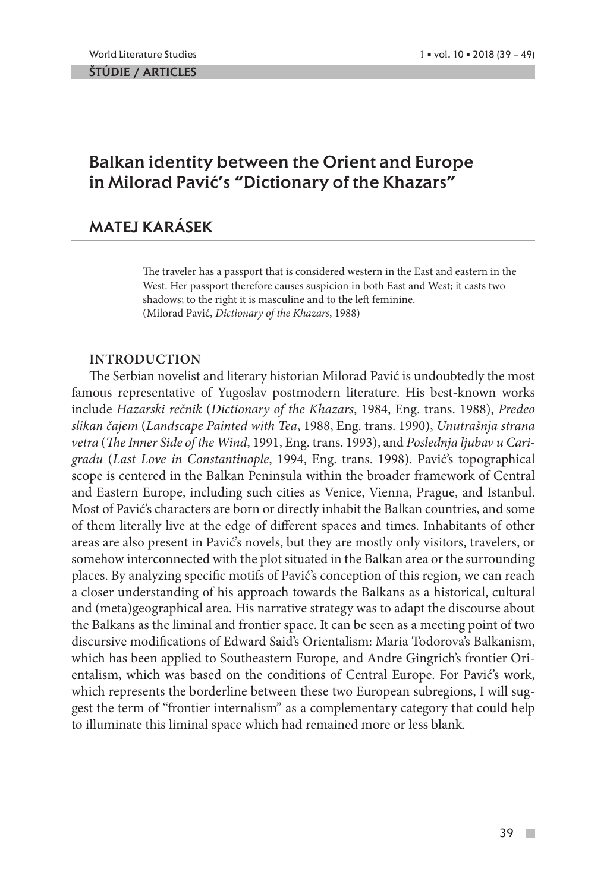ŠTÚDIE / ARTICLES

# Balkan identity between the Orient and Europe in Milorad Pavić's "Dictionary of the Khazars"

## MATEJ KARÁSEK

The traveler has a passport that is considered western in the East and eastern in the West. Her passport therefore causes suspicion in both East and West; it casts two shadows; to the right it is masculine and to the left feminine. (Milorad Pavić, *Dictionary of the Khazars*, 1988)

## **INTRODUCTION**

The Serbian novelist and literary historian Milorad Pavić is undoubtedly the most famous representative of Yugoslav postmodern literature. His best-known works include *Hazarski rečnik* (*Dictionary of the Khazars*, 1984, Eng. trans. 1988), *Predeo slikan čajem* (*Landscape Painted with Tea*, 1988, Eng. trans. 1990), *Unutrašnja strana vetra* (*The Inner Side of the Wind*, 1991, Eng. trans. 1993), and *Poslednja ljubav u Carigradu* (*Last Love in Constantinople*, 1994, Eng. trans. 1998). Pavić's topographical scope is centered in the Balkan Peninsula within the broader framework of Central and Eastern Europe, including such cities as Venice, Vienna, Prague, and Istanbul. Most of Pavić's characters are born or directly inhabit the Balkan countries, and some of them literally live at the edge of different spaces and times. Inhabitants of other areas are also present in Pavić's novels, but they are mostly only visitors, travelers, or somehow interconnected with the plot situated in the Balkan area or the surrounding places. By analyzing specific motifs of Pavić's conception of this region, we can reach a closer understanding of his approach towards the Balkans as a historical, cultural and (meta)geographical area. His narrative strategy was to adapt the discourse about the Balkans as the liminal and frontier space. It can be seen as a meeting point of two discursive modifications of Edward Said's Orientalism: Maria Todorova's Balkanism, which has been applied to Southeastern Europe, and Andre Gingrich's frontier Orientalism, which was based on the conditions of Central Europe. For Pavić's work, which represents the borderline between these two European subregions, I will suggest the term of "frontier internalism" as a complementary category that could help to illuminate this liminal space which had remained more or less blank.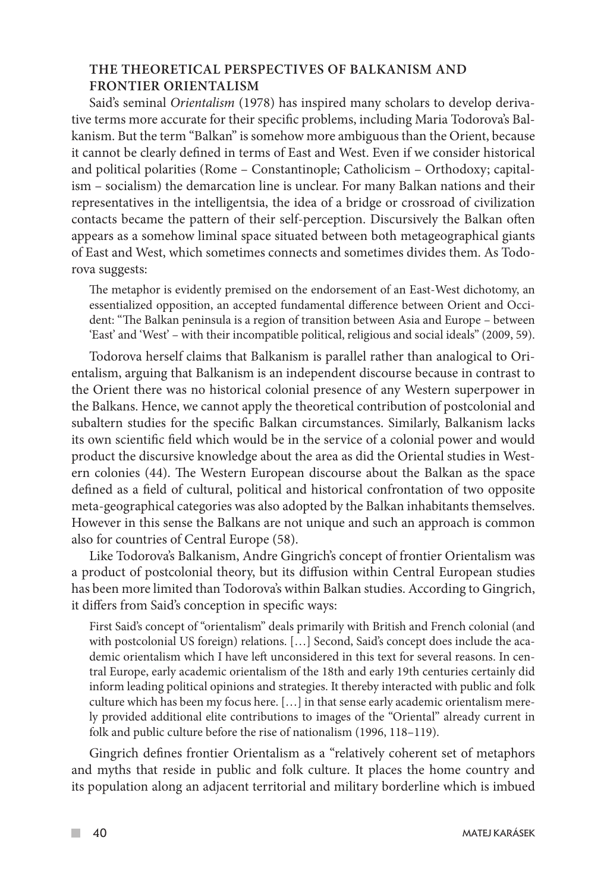### **THE THEORETICAL PERSPECTIVES OF BALKANISM AND FRONTIER ORIENTALISM**

Said's seminal *Orientalism* (1978) has inspired many scholars to develop derivative terms more accurate for their specific problems, including Maria Todorova's Balkanism. But the term "Balkan" is somehow more ambiguous than the Orient, because it cannot be clearly defined in terms of East and West. Even if we consider historical and political polarities (Rome – Constantinople; Catholicism – Orthodoxy; capitalism – socialism) the demarcation line is unclear. For many Balkan nations and their representatives in the intelligentsia, the idea of a bridge or crossroad of civilization contacts became the pattern of their self-perception. Discursively the Balkan often appears as a somehow liminal space situated between both metageographical giants of East and West, which sometimes connects and sometimes divides them. As Todorova suggests:

The metaphor is evidently premised on the endorsement of an East-West dichotomy, an essentialized opposition, an accepted fundamental difference between Orient and Occident: "The Balkan peninsula is a region of transition between Asia and Europe – between 'East' and 'West' – with their incompatible political, religious and social ideals" (2009, 59).

Todorova herself claims that Balkanism is parallel rather than analogical to Orientalism, arguing that Balkanism is an independent discourse because in contrast to the Orient there was no historical colonial presence of any Western superpower in the Balkans. Hence, we cannot apply the theoretical contribution of postcolonial and subaltern studies for the specific Balkan circumstances. Similarly, Balkanism lacks its own scientific field which would be in the service of a colonial power and would product the discursive knowledge about the area as did the Oriental studies in Western colonies (44). The Western European discourse about the Balkan as the space defined as a field of cultural, political and historical confrontation of two opposite meta-geographical categories was also adopted by the Balkan inhabitants themselves. However in this sense the Balkans are not unique and such an approach is common also for countries of Central Europe (58).

Like Todorova's Balkanism, Andre Gingrich's concept of frontier Orientalism was a product of postcolonial theory, but its diffusion within Central European studies has been more limited than Todorova's within Balkan studies. According to Gingrich, it differs from Said's conception in specific ways:

First Said's concept of "orientalism" deals primarily with British and French colonial (and with postcolonial US foreign) relations. […] Second, Said's concept does include the academic orientalism which I have left unconsidered in this text for several reasons. In central Europe, early academic orientalism of the 18th and early 19th centuries certainly did inform leading political opinions and strategies. It thereby interacted with public and folk culture which has been my focus here. […] in that sense early academic orientalism merely provided additional elite contributions to images of the "Oriental" already current in folk and public culture before the rise of nationalism (1996, 118–119).

Gingrich defines frontier Orientalism as a "relatively coherent set of metaphors and myths that reside in public and folk culture. It places the home country and its population along an adjacent territorial and military borderline which is imbued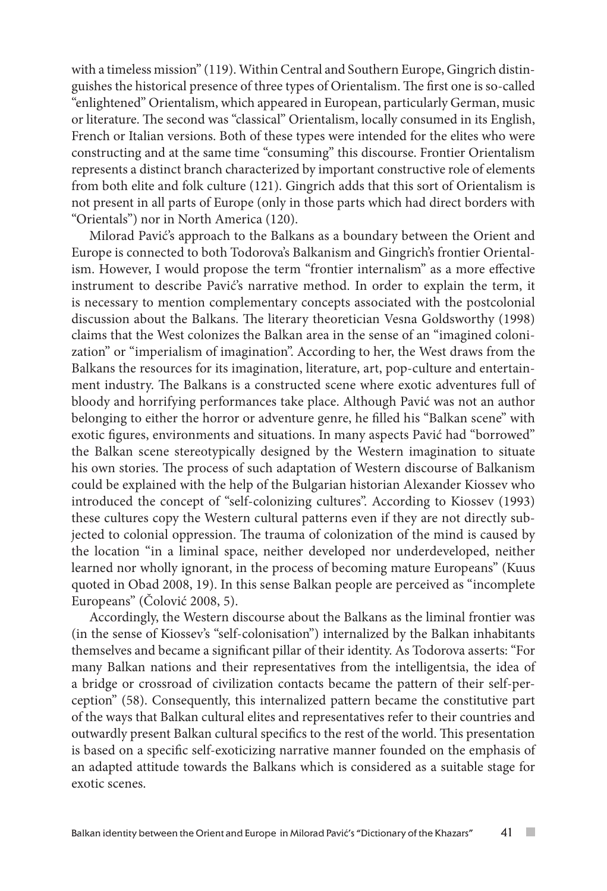with a timeless mission" (119). Within Central and Southern Europe, Gingrich distinguishes the historical presence of three types of Orientalism. The first one is so-called "enlightened" Orientalism, which appeared in European, particularly German, music or literature. The second was "classical" Orientalism, locally consumed in its English, French or Italian versions. Both of these types were intended for the elites who were constructing and at the same time "consuming" this discourse. Frontier Orientalism represents a distinct branch characterized by important constructive role of elements from both elite and folk culture (121). Gingrich adds that this sort of Orientalism is not present in all parts of Europe (only in those parts which had direct borders with "Orientals") nor in North America (120).

Milorad Pavić's approach to the Balkans as a boundary between the Orient and Europe is connected to both Todorova's Balkanism and Gingrich's frontier Orientalism. However, I would propose the term "frontier internalism" as a more effective instrument to describe Pavić's narrative method. In order to explain the term, it is necessary to mention complementary concepts associated with the postcolonial discussion about the Balkans. The literary theoretician Vesna Goldsworthy (1998) claims that the West colonizes the Balkan area in the sense of an "imagined colonization" or "imperialism of imagination". According to her, the West draws from the Balkans the resources for its imagination, literature, art, pop-culture and entertainment industry. The Balkans is a constructed scene where exotic adventures full of bloody and horrifying performances take place. Although Pavić was not an author belonging to either the horror or adventure genre, he filled his "Balkan scene" with exotic figures, environments and situations. In many aspects Pavić had "borrowed" the Balkan scene stereotypically designed by the Western imagination to situate his own stories. The process of such adaptation of Western discourse of Balkanism could be explained with the help of the Bulgarian historian Alexander Kiossev who introduced the concept of "self-colonizing cultures". According to Kiossev (1993) these cultures copy the Western cultural patterns even if they are not directly subjected to colonial oppression. The trauma of colonization of the mind is caused by the location "in a liminal space, neither developed nor underdeveloped, neither learned nor wholly ignorant, in the process of becoming mature Europeans" (Kuus quoted in Obad 2008, 19). In this sense Balkan people are perceived as "incomplete Europeans" (Čolović 2008, 5).

Accordingly, the Western discourse about the Balkans as the liminal frontier was (in the sense of Kiossev's "self-colonisation") internalized by the Balkan inhabitants themselves and became a significant pillar of their identity. As Todorova asserts: "For many Balkan nations and their representatives from the intelligentsia, the idea of a bridge or crossroad of civilization contacts became the pattern of their self-perception" (58). Consequently, this internalized pattern became the constitutive part of the ways that Balkan cultural elites and representatives refer to their countries and outwardly present Balkan cultural specifics to the rest of the world. This presentation is based on a specific self-exoticizing narrative manner founded on the emphasis of an adapted attitude towards the Balkans which is considered as a suitable stage for exotic scenes.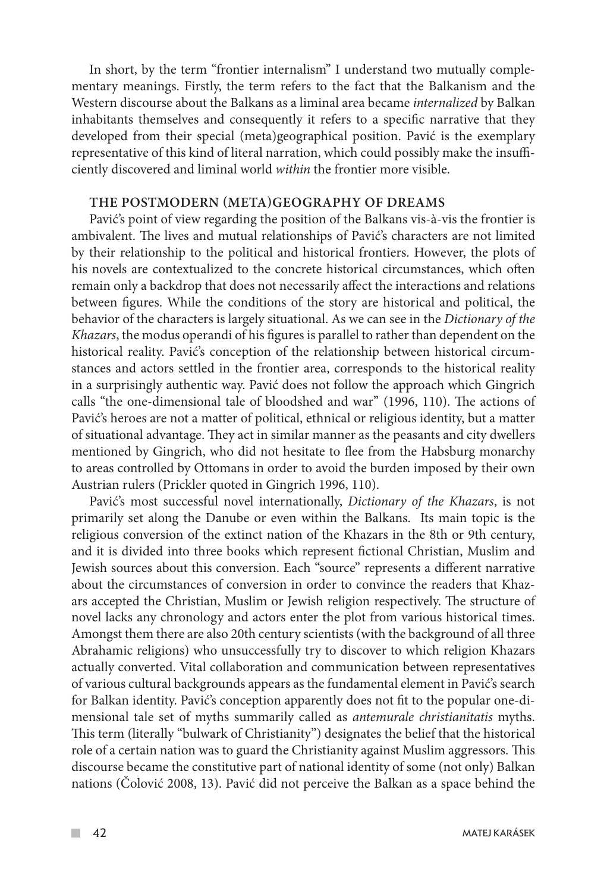In short, by the term "frontier internalism" I understand two mutually complementary meanings. Firstly, the term refers to the fact that the Balkanism and the Western discourse about the Balkans as a liminal area became *internalized* by Balkan inhabitants themselves and consequently it refers to a specific narrative that they developed from their special (meta)geographical position. Pavić is the exemplary representative of this kind of literal narration, which could possibly make the insufficiently discovered and liminal world *within* the frontier more visible.

#### **THE POSTMODERN (META)GEOGRAPHY OF DREAMS**

Pavić's point of view regarding the position of the Balkans vis-à-vis the frontier is ambivalent. The lives and mutual relationships of Pavić's characters are not limited by their relationship to the political and historical frontiers. However, the plots of his novels are contextualized to the concrete historical circumstances, which often remain only a backdrop that does not necessarily affect the interactions and relations between figures. While the conditions of the story are historical and political, the behavior of the characters is largely situational. As we can see in the *Dictionary of the Khazars*, the modus operandi of his figures is parallel to rather than dependent on the historical reality. Pavić's conception of the relationship between historical circumstances and actors settled in the frontier area, corresponds to the historical reality in a surprisingly authentic way. Pavić does not follow the approach which Gingrich calls "the one-dimensional tale of bloodshed and war" (1996, 110). The actions of Pavić's heroes are not a matter of political, ethnical or religious identity, but a matter of situational advantage. They act in similar manner as the peasants and city dwellers mentioned by Gingrich, who did not hesitate to flee from the Habsburg monarchy to areas controlled by Ottomans in order to avoid the burden imposed by their own Austrian rulers (Prickler quoted in Gingrich 1996, 110).

Pavić's most successful novel internationally, *Dictionary of the Khazars*, is not primarily set along the Danube or even within the Balkans. Its main topic is the religious conversion of the extinct nation of the Khazars in the 8th or 9th century, and it is divided into three books which represent fictional Christian, Muslim and Jewish sources about this conversion. Each "source" represents a different narrative about the circumstances of conversion in order to convince the readers that Khazars accepted the Christian, Muslim or Jewish religion respectively. The structure of novel lacks any chronology and actors enter the plot from various historical times. Amongst them there are also 20th century scientists (with the background of all three Abrahamic religions) who unsuccessfully try to discover to which religion Khazars actually converted. Vital collaboration and communication between representatives of various cultural backgrounds appears as the fundamental element in Pavić's search for Balkan identity. Pavić's conception apparently does not fit to the popular one-dimensional tale set of myths summarily called as *antemurale christianitatis* myths. This term (literally "bulwark of Christianity") designates the belief that the historical role of a certain nation was to guard the Christianity against Muslim aggressors. This discourse became the constitutive part of national identity of some (not only) Balkan nations (Čolović 2008, 13). Pavić did not perceive the Balkan as a space behind the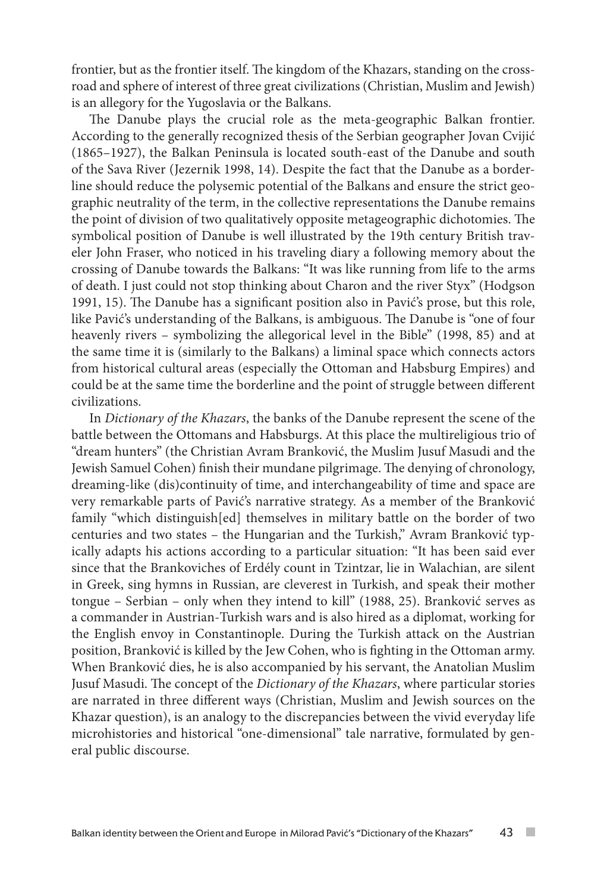frontier, but as the frontier itself. The kingdom of the Khazars, standing on the crossroad and sphere of interest of three great civilizations (Christian, Muslim and Jewish) is an allegory for the Yugoslavia or the Balkans.

The Danube plays the crucial role as the meta-geographic Balkan frontier. According to the generally recognized thesis of the Serbian geographer Jovan Cvijić (1865–1927), the Balkan Peninsula is located south-east of the Danube and south of the Sava River (Jezernik 1998, 14). Despite the fact that the Danube as a borderline should reduce the polysemic potential of the Balkans and ensure the strict geographic neutrality of the term, in the collective representations the Danube remains the point of division of two qualitatively opposite metageographic dichotomies. The symbolical position of Danube is well illustrated by the 19th century British traveler John Fraser, who noticed in his traveling diary a following memory about the crossing of Danube towards the Balkans: "It was like running from life to the arms of death. I just could not stop thinking about Charon and the river Styx" (Hodgson 1991, 15). The Danube has a significant position also in Pavić's prose, but this role, like Pavić's understanding of the Balkans, is ambiguous. The Danube is "one of four heavenly rivers – symbolizing the allegorical level in the Bible" (1998, 85) and at the same time it is (similarly to the Balkans) a liminal space which connects actors from historical cultural areas (especially the Ottoman and Habsburg Empires) and could be at the same time the borderline and the point of struggle between different civilizations.

In *Dictionary of the Khazars*, the banks of the Danube represent the scene of the battle between the Ottomans and Habsburgs. At this place the multireligious trio of "dream hunters" (the Christian Avram Branković, the Muslim Jusuf Masudi and the Jewish Samuel Cohen) finish their mundane pilgrimage. The denying of chronology, dreaming-like (dis)continuity of time, and interchangeability of time and space are very remarkable parts of Pavić's narrative strategy. As a member of the Branković family "which distinguish[ed] themselves in military battle on the border of two centuries and two states – the Hungarian and the Turkish," Avram Branković typically adapts his actions according to a particular situation: "It has been said ever since that the Brankoviches of Erdély count in Tzintzar, lie in Walachian, are silent in Greek, sing hymns in Russian, are cleverest in Turkish, and speak their mother tongue – Serbian – only when they intend to kill" (1988, 25). Branković serves as a commander in Austrian-Turkish wars and is also hired as a diplomat, working for the English envoy in Constantinople. During the Turkish attack on the Austrian position, Branković is killed by the Jew Cohen, who is fighting in the Ottoman army. When Branković dies, he is also accompanied by his servant, the Anatolian Muslim Jusuf Masudi. The concept of the *Dictionary of the Khazars*, where particular stories are narrated in three different ways (Christian, Muslim and Jewish sources on the Khazar question), is an analogy to the discrepancies between the vivid everyday life microhistories and historical "one-dimensional" tale narrative, formulated by general public discourse.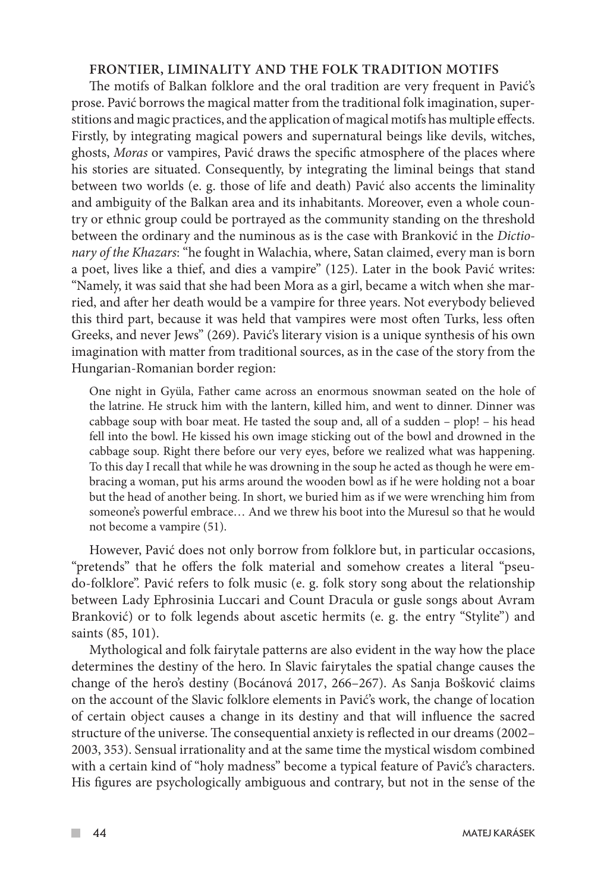#### **FRONTIER, LIMINALITY AND THE FOLK TRADITION MOTIFS**

The motifs of Balkan folklore and the oral tradition are very frequent in Pavić's prose. Pavić borrows the magical matter from the traditional folk imagination, superstitions and magic practices, and the application of magical motifs has multiple effects. Firstly, by integrating magical powers and supernatural beings like devils, witches, ghosts, *Moras* or vampires, Pavić draws the specific atmosphere of the places where his stories are situated. Consequently, by integrating the liminal beings that stand between two worlds (e. g. those of life and death) Pavić also accents the liminality and ambiguity of the Balkan area and its inhabitants. Moreover, even a whole country or ethnic group could be portrayed as the community standing on the threshold between the ordinary and the numinous as is the case with Branković in the *Dictionary of the Khazars*: "he fought in Walachia, where, Satan claimed, every man is born a poet, lives like a thief, and dies a vampire" (125). Later in the book Pavić writes: "Namely, it was said that she had been Mora as a girl, became a witch when she married, and after her death would be a vampire for three years. Not everybody believed this third part, because it was held that vampires were most often Turks, less often Greeks, and never Jews" (269). Pavić's literary vision is a unique synthesis of his own imagination with matter from traditional sources, as in the case of the story from the Hungarian-Romanian border region:

One night in Gyüla, Father came across an enormous snowman seated on the hole of the latrine. He struck him with the lantern, killed him, and went to dinner. Dinner was cabbage soup with boar meat. He tasted the soup and, all of a sudden – plop! – his head fell into the bowl. He kissed his own image sticking out of the bowl and drowned in the cabbage soup. Right there before our very eyes, before we realized what was happening. To this day I recall that while he was drowning in the soup he acted as though he were embracing a woman, put his arms around the wooden bowl as if he were holding not a boar but the head of another being. In short, we buried him as if we were wrenching him from someone's powerful embrace… And we threw his boot into the Muresul so that he would not become a vampire (51).

However, Pavić does not only borrow from folklore but, in particular occasions, "pretends" that he offers the folk material and somehow creates a literal "pseudo-folklore". Pavić refers to folk music (e. g. folk story song about the relationship between Lady Ephrosinia Luccari and Count Dracula or gusle songs about Avram Branković) or to folk legends about ascetic hermits (e. g. the entry "Stylite") and saints (85, 101).

Mythological and folk fairytale patterns are also evident in the way how the place determines the destiny of the hero. In Slavic fairytales the spatial change causes the change of the hero's destiny (Bocánová 2017, 266–267). As Sanja Bošković claims on the account of the Slavic folklore elements in Pavić's work, the change of location of certain object causes a change in its destiny and that will influence the sacred structure of the universe. The consequential anxiety is reflected in our dreams (2002– 2003, 353). Sensual irrationality and at the same time the mystical wisdom combined with a certain kind of "holy madness" become a typical feature of Pavić's characters. His figures are psychologically ambiguous and contrary, but not in the sense of the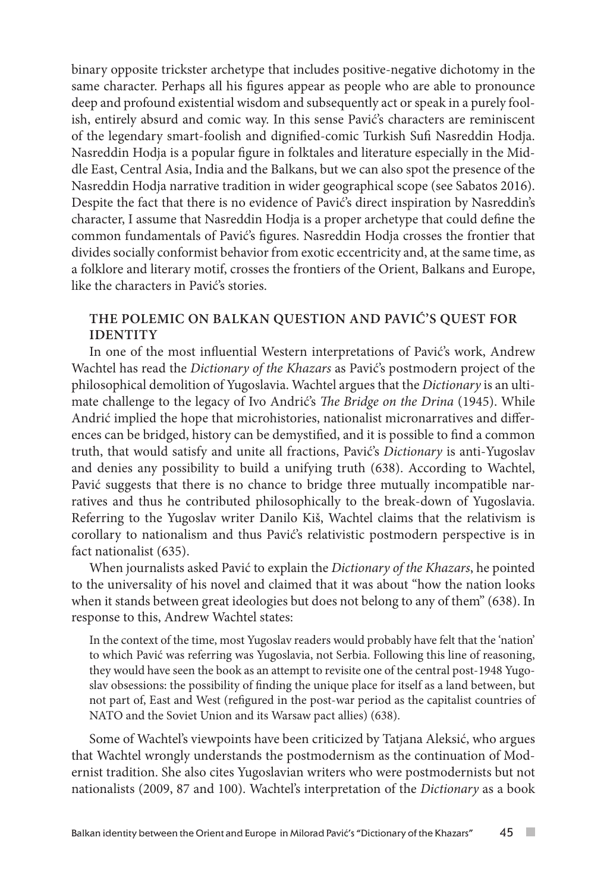binary opposite trickster archetype that includes positive-negative dichotomy in the same character. Perhaps all his figures appear as people who are able to pronounce deep and profound existential wisdom and subsequently act or speak in a purely foolish, entirely absurd and comic way. In this sense Pavić's characters are reminiscent of the legendary smart-foolish and dignified-comic Turkish Sufi Nasreddin Hodja. Nasreddin Hodja is a popular figure in folktales and literature especially in the Middle East, Central Asia, India and the Balkans, but we can also spot the presence of the Nasreddin Hodja narrative tradition in wider geographical scope (see Sabatos 2016). Despite the fact that there is no evidence of Pavić's direct inspiration by Nasreddin's character, I assume that Nasreddin Hodja is a proper archetype that could define the common fundamentals of Pavić's figures. Nasreddin Hodja crosses the frontier that divides socially conformist behavior from exotic eccentricity and, at the same time, as a folklore and literary motif, crosses the frontiers of the Orient, Balkans and Europe, like the characters in Pavić's stories.

## **THE POLEMIC ON BALKAN QUESTION AND PAVIĆ'S QUEST FOR IDENTITY**

In one of the most influential Western interpretations of Pavić's work, Andrew Wachtel has read the *Dictionary of the Khazars* as Pavić's postmodern project of the philosophical demolition of Yugoslavia. Wachtel argues that the *Dictionary* is an ultimate challenge to the legacy of Ivo Andrić's *The Bridge on the Drina* (1945). While Andrić implied the hope that microhistories, nationalist micronarratives and differences can be bridged, history can be demystified, and it is possible to find a common truth, that would satisfy and unite all fractions, Pavić's *Dictionary* is anti-Yugoslav and denies any possibility to build a unifying truth (638). According to Wachtel, Pavić suggests that there is no chance to bridge three mutually incompatible narratives and thus he contributed philosophically to the break-down of Yugoslavia. Referring to the Yugoslav writer Danilo Kiš, Wachtel claims that the relativism is corollary to nationalism and thus Pavić's relativistic postmodern perspective is in fact nationalist (635).

When journalists asked Pavić to explain the *Dictionary of the Khazars*, he pointed to the universality of his novel and claimed that it was about "how the nation looks when it stands between great ideologies but does not belong to any of them" (638). In response to this, Andrew Wachtel states:

In the context of the time, most Yugoslav readers would probably have felt that the 'nation' to which Pavić was referring was Yugoslavia, not Serbia. Following this line of reasoning, they would have seen the book as an attempt to revisite one of the central post-1948 Yugoslav obsessions: the possibility of finding the unique place for itself as a land between, but not part of, East and West (refigured in the post-war period as the capitalist countries of NATO and the Soviet Union and its Warsaw pact allies) (638).

Some of Wachtel's viewpoints have been criticized by Tatjana Aleksić, who argues that Wachtel wrongly understands the postmodernism as the continuation of Modernist tradition. She also cites Yugoslavian writers who were postmodernists but not nationalists (2009, 87 and 100). Wachtel's interpretation of the *Dictionary* as a book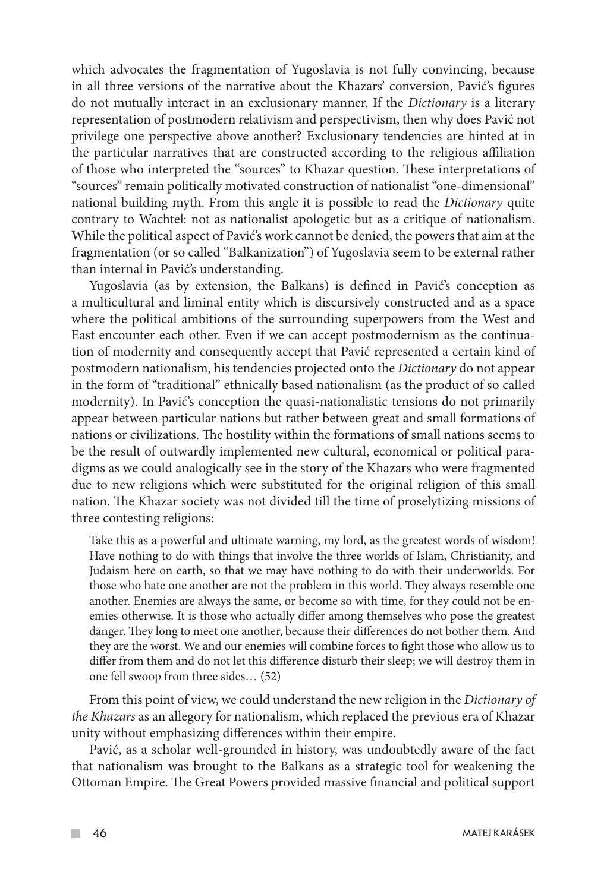which advocates the fragmentation of Yugoslavia is not fully convincing, because in all three versions of the narrative about the Khazars' conversion, Pavić's figures do not mutually interact in an exclusionary manner. If the *Dictionary* is a literary representation of postmodern relativism and perspectivism, then why does Pavić not privilege one perspective above another? Exclusionary tendencies are hinted at in the particular narratives that are constructed according to the religious affiliation of those who interpreted the "sources" to Khazar question. These interpretations of "sources" remain politically motivated construction of nationalist "one-dimensional" national building myth. From this angle it is possible to read the *Dictionary* quite contrary to Wachtel: not as nationalist apologetic but as a critique of nationalism. While the political aspect of Pavić's work cannot be denied, the powers that aim at the fragmentation (or so called "Balkanization") of Yugoslavia seem to be external rather than internal in Pavić's understanding.

Yugoslavia (as by extension, the Balkans) is defined in Pavić's conception as a multicultural and liminal entity which is discursively constructed and as a space where the political ambitions of the surrounding superpowers from the West and East encounter each other. Even if we can accept postmodernism as the continuation of modernity and consequently accept that Pavić represented a certain kind of postmodern nationalism, his tendencies projected onto the *Dictionary* do not appear in the form of "traditional" ethnically based nationalism (as the product of so called modernity). In Pavić's conception the quasi-nationalistic tensions do not primarily appear between particular nations but rather between great and small formations of nations or civilizations. The hostility within the formations of small nations seems to be the result of outwardly implemented new cultural, economical or political paradigms as we could analogically see in the story of the Khazars who were fragmented due to new religions which were substituted for the original religion of this small nation. The Khazar society was not divided till the time of proselytizing missions of three contesting religions:

Take this as a powerful and ultimate warning, my lord, as the greatest words of wisdom! Have nothing to do with things that involve the three worlds of Islam, Christianity, and Judaism here on earth, so that we may have nothing to do with their underworlds. For those who hate one another are not the problem in this world. They always resemble one another. Enemies are always the same, or become so with time, for they could not be enemies otherwise. It is those who actually differ among themselves who pose the greatest danger. They long to meet one another, because their differences do not bother them. And they are the worst. We and our enemies will combine forces to fight those who allow us to differ from them and do not let this difference disturb their sleep; we will destroy them in one fell swoop from three sides… (52)

From this point of view, we could understand the new religion in the *Dictionary of the Khazars* as an allegory for nationalism, which replaced the previous era of Khazar unity without emphasizing differences within their empire.

Pavić, as a scholar well-grounded in history, was undoubtedly aware of the fact that nationalism was brought to the Balkans as a strategic tool for weakening the Ottoman Empire. The Great Powers provided massive financial and political support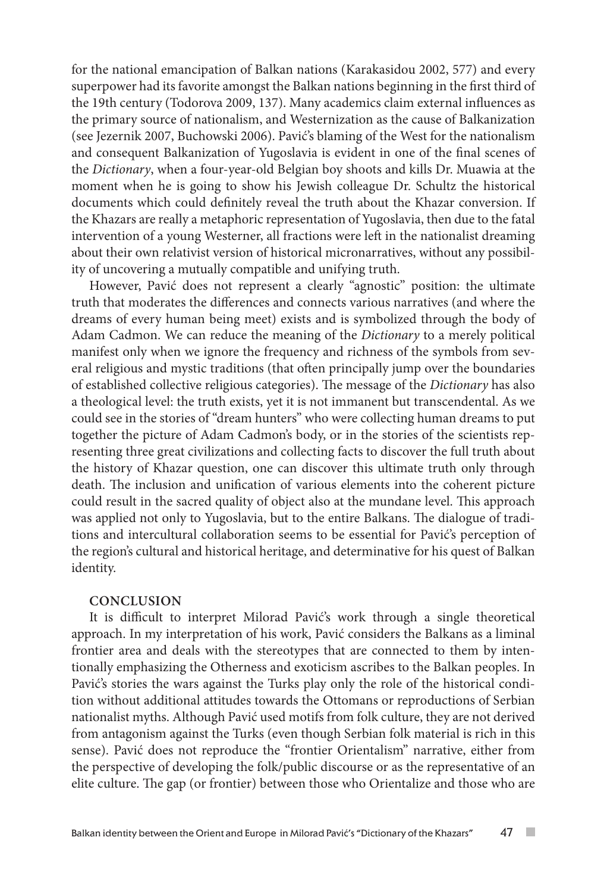for the national emancipation of Balkan nations (Karakasidou 2002, 577) and every superpower had its favorite amongst the Balkan nations beginning in the first third of the 19th century (Todorova 2009, 137). Many academics claim external influences as the primary source of nationalism, and Westernization as the cause of Balkanization (see Jezernik 2007, Buchowski 2006). Pavić's blaming of the West for the nationalism and consequent Balkanization of Yugoslavia is evident in one of the final scenes of the *Dictionary*, when a four-year-old Belgian boy shoots and kills Dr. Muawia at the moment when he is going to show his Jewish colleague Dr. Schultz the historical documents which could definitely reveal the truth about the Khazar conversion. If the Khazars are really a metaphoric representation of Yugoslavia, then due to the fatal intervention of a young Westerner, all fractions were left in the nationalist dreaming about their own relativist version of historical micronarratives, without any possibility of uncovering a mutually compatible and unifying truth.

However, Pavić does not represent a clearly "agnostic" position: the ultimate truth that moderates the differences and connects various narratives (and where the dreams of every human being meet) exists and is symbolized through the body of Adam Cadmon. We can reduce the meaning of the *Dictionary* to a merely political manifest only when we ignore the frequency and richness of the symbols from several religious and mystic traditions (that often principally jump over the boundaries of established collective religious categories). The message of the *Dictionary* has also a theological level: the truth exists, yet it is not immanent but transcendental. As we could see in the stories of "dream hunters" who were collecting human dreams to put together the picture of Adam Cadmon's body, or in the stories of the scientists representing three great civilizations and collecting facts to discover the full truth about the history of Khazar question, one can discover this ultimate truth only through death. The inclusion and unification of various elements into the coherent picture could result in the sacred quality of object also at the mundane level. This approach was applied not only to Yugoslavia, but to the entire Balkans. The dialogue of traditions and intercultural collaboration seems to be essential for Pavić's perception of the region's cultural and historical heritage, and determinative for his quest of Balkan identity.

#### **CONCLUSION**

It is difficult to interpret Milorad Pavić's work through a single theoretical approach. In my interpretation of his work, Pavić considers the Balkans as a liminal frontier area and deals with the stereotypes that are connected to them by intentionally emphasizing the Otherness and exoticism ascribes to the Balkan peoples. In Pavić's stories the wars against the Turks play only the role of the historical condition without additional attitudes towards the Ottomans or reproductions of Serbian nationalist myths. Although Pavić used motifs from folk culture, they are not derived from antagonism against the Turks (even though Serbian folk material is rich in this sense). Pavić does not reproduce the "frontier Orientalism" narrative, either from the perspective of developing the folk/public discourse or as the representative of an elite culture. The gap (or frontier) between those who Orientalize and those who are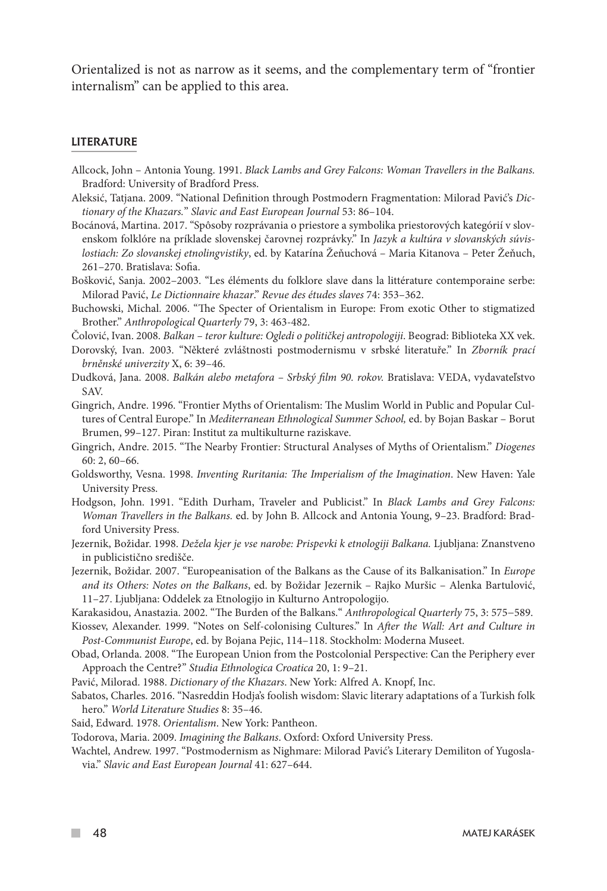Orientalized is not as narrow as it seems, and the complementary term of "frontier internalism" can be applied to this area.

#### LITERATURE

- Allcock, John Antonia Young. 1991. *Black Lambs and Grey Falcons: Woman Travellers in the Balkans.* Bradford: University of Bradford Press.
- Aleksić, Tatjana. 2009. "National Definition through Postmodern Fragmentation: Milorad Pavić's *Dictionary of the Khazars.*" *Slavic and East European Journal* 53: 86–104.
- Bocánová, Martina. 2017. "Spôsoby rozprávania o priestore a symbolika priestorových kategórií v slovenskom folklóre na príklade slovenskej čarovnej rozprávky." In *Jazyk a kultúra v slovanských súvislostiach: Zo slovanskej etnolingvistiky*, ed. by Katarína Žeňuchová – Maria Kitanova – Peter Žeňuch, 261–270. Bratislava: Sofia.
- Bošković, Sanja. 2002–2003. "Les éléments du folklore slave dans la littérature contemporaine serbe: Milorad Pavić, *Le Dictionnaire khazar*." *Revue des études slaves* 74: 353–362.
- Buchowski, Michal. 2006. "The Specter of Orientalism in Europe: From exotic Other to stigmatized Brother." *Anthropological Quarterly* 79, 3: 463-482.
- Čolović, Ivan. 2008. *Balkan teror kulture: Ogledi o političkej antropologiji*. Beograd: Biblioteka XX vek.
- Dorovský, Ivan. 2003. "Některé zvláštnosti postmodernismu v srbské literatuře." In *Zborník prací brněnské univerzity* X, 6: 39–46.
- Dudková, Jana. 2008. *Balkán alebo metafora Srbský film 90. rokov.* Bratislava: VEDA, vydavateľstvo SAV.
- Gingrich, Andre. 1996. "Frontier Myths of Orientalism: The Muslim World in Public and Popular Cultures of Central Europe." In *Mediterranean Ethnological Summer School,* ed. by Bojan Baskar – Borut Brumen, 99–127. Piran: Institut za multikulturne raziskave.
- Gingrich, Andre. 2015. "The Nearby Frontier: Structural Analyses of Myths of Orientalism." *Diogenes* 60: 2, 60–66.
- Goldsworthy, Vesna. 1998. *Inventing Ruritania: The Imperialism of the Imagination*. New Haven: Yale University Press.
- Hodgson, John. 1991. "Edith Durham, Traveler and Publicist." In *Black Lambs and Grey Falcons: Woman Travellers in the Balkans.* ed. by John B. Allcock and Antonia Young, 9–23. Bradford: Bradford University Press.
- Jezernik, Božidar. 1998. *Dežela kjer je vse narobe: Prispevki k etnologiji Balkana.* Ljubljana: Znanstveno in publicistično središče.
- Jezernik, Božidar. 2007. "Europeanisation of the Balkans as the Cause of its Balkanisation." In *Europe and its Others: Notes on the Balkans*, ed. by Božidar Jezernik – Rajko Muršic – Alenka Bartulović, 11–27. Ljubljana: Oddelek za Etnologijo in Kulturno Antropologijo.
- Karakasidou, Anastazia. 2002. "The Burden of the Balkans." *Anthropological Quarterly* 75, 3: 575−589.

Kiossev, Alexander. 1999. "Notes on Self-colonising Cultures." In *After the Wall: Art and Culture in Post-Communist Europe*, ed. by Bojana Pejic, 114–118. Stockholm: Moderna Museet.

- Obad, Orlanda. 2008. "The European Union from the Postcolonial Perspective: Can the Periphery ever Approach the Centre?" *Studia Ethnologica Croatica* 20, 1: 9–21.
- Pavić, Milorad. 1988. *Dictionary of the Khazars*. New York: Alfred A. Knopf, Inc.
- Sabatos, Charles. 2016. "Nasreddin Hodja's foolish wisdom: Slavic literary adaptations of a Turkish folk hero." *World Literature Studies* 8: 35–46.
- Said, Edward. 1978. *Orientalism*. New York: Pantheon.
- Todorova, Maria. 2009. *Imagining the Balkans*. Oxford: Oxford University Press.
- Wachtel, Andrew. 1997. "Postmodernism as Nighmare: Milorad Pavić's Literary Demiliton of Yugoslavia." *Slavic and East European Journal* 41: 627–644.